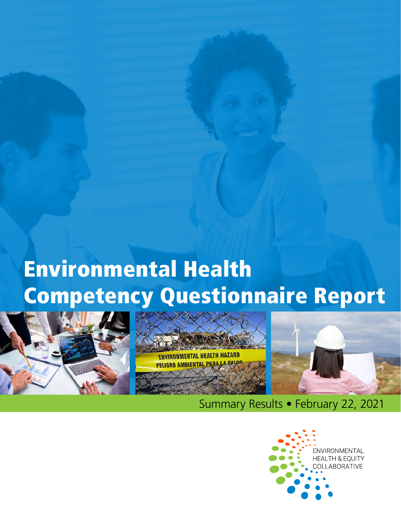# Environmental Health Competency Questionnaire Report







Summary Results • February 22, 2021

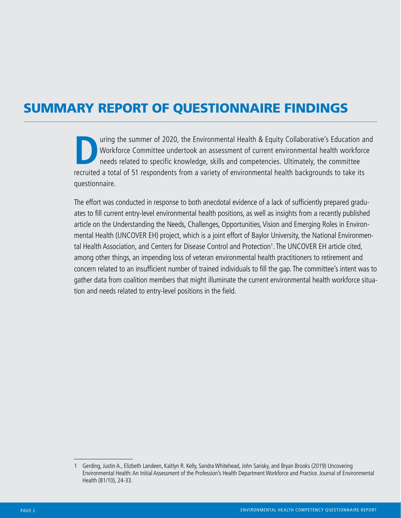# SUMMARY REPORT OF QUESTIONNAIRE FINDINGS

United States of 2020, the Environmental Health & Equity Collaborative's Education and<br>Workforce Committee undertook an assessment of current environmental health workforce<br>needs related to specific knowledge, skills and c Workforce Committee undertook an assessment of current environmental health workforce needs related to specific knowledge, skills and competencies. Ultimately, the committee recruited a total of 51 respondents from a variety of environmental health backgrounds to take its questionnaire.

The effort was conducted in response to both anecdotal evidence of a lack of sufficiently prepared graduates to fill current entry-level environmental health positions, as well as insights from a recently published article on the Understanding the Needs, Challenges, Opportunities, Vision and Emerging Roles in Environmental Health (UNCOVER EH) project, which is a joint effort of Baylor University, the National Environmen-tal Health Association, and Centers for Disease Control and Protection<sup>[1](#page-1-0)</sup>. The UNCOVER EH article cited, among other things, an impending loss of veteran environmental health practitioners to retirement and concern related to an insufficient number of trained individuals to fill the gap. The committee's intent was to gather data from coalition members that might illuminate the current environmental health workforce situation and needs related to entry-level positions in the field.

<span id="page-1-0"></span><sup>1</sup> Gerding, Justin A., Elizbeth Landeen, Kaitlyn R. Kelly, Sandra Whitehead, John Sarisky, and Bryan Brooks (2019) Uncovering Environmental Health: An Initial Assessment of the Profession's Health Department Workforce and Practice. Journal of Environmental Health (81/10), 24-33.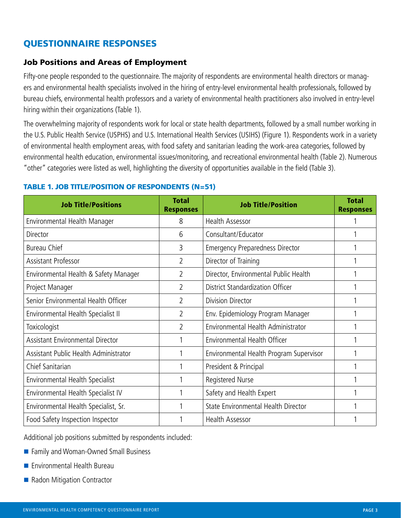# QUESTIONNAIRE RESPONSES

# Job Positions and Areas of Employment

Fifty-one people responded to the questionnaire. The majority of respondents are environmental health directors or managers and environmental health specialists involved in the hiring of entry-level environmental health professionals, followed by bureau chiefs, environmental health professors and a variety of environmental health practitioners also involved in entry-level hiring within their organizations (Table 1).

The overwhelming majority of respondents work for local or state health departments, followed by a small number working in the U.S. Public Health Service (USPHS) and U.S. International Health Services (USIHS) (Figure 1). Respondents work in a variety of environmental health employment areas, with food safety and sanitarian leading the work-area categories, followed by environmental health education, environmental issues/monitoring, and recreational environmental health (Table 2). Numerous "other" categories were listed as well, highlighting the diversity of opportunities available in the field (Table 3).

| <b>Job Title/Positions</b>              | <b>Total</b><br><b>Responses</b> | <b>Job Title/Position</b>               | <b>Total</b><br><b>Responses</b> |
|-----------------------------------------|----------------------------------|-----------------------------------------|----------------------------------|
| Environmental Health Manager            | 8                                | <b>Health Assessor</b>                  |                                  |
| Director                                | 6                                | Consultant/Educator                     |                                  |
| <b>Bureau Chief</b>                     | 3                                | <b>Emergency Preparedness Director</b>  |                                  |
| Assistant Professor                     | $\overline{2}$                   | Director of Training                    |                                  |
| Environmental Health & Safety Manager   | 2                                | Director, Environmental Public Health   |                                  |
| Project Manager                         | 2                                | District Standardization Officer        |                                  |
| Senior Environmental Health Officer     | 2                                | Division Director                       |                                  |
| Environmental Health Specialist II      | 2                                | Env. Epidemiology Program Manager       |                                  |
| Toxicologist                            | $\overline{2}$                   | Environmental Health Administrator      |                                  |
| <b>Assistant Environmental Director</b> |                                  | Environmental Health Officer            |                                  |
| Assistant Public Health Administrator   |                                  | Environmental Health Program Supervisor |                                  |
| Chief Sanitarian                        |                                  | President & Principal                   |                                  |
| Environmental Health Specialist         |                                  | Registered Nurse                        |                                  |
| Environmental Health Specialist IV      |                                  | Safety and Health Expert                |                                  |
| Environmental Health Specialist, Sr.    |                                  | State Environmental Health Director     |                                  |
| Food Safety Inspection Inspector        |                                  | Health Assessor                         |                                  |

#### TABLE 1. JOB TITLE/POSITION OF RESPONDENTS (N=51)

Additional job positions submitted by respondents included:

- Family and Woman-Owned Small Business
- **E** Fnvironmental Health Bureau
- Radon Mitigation Contractor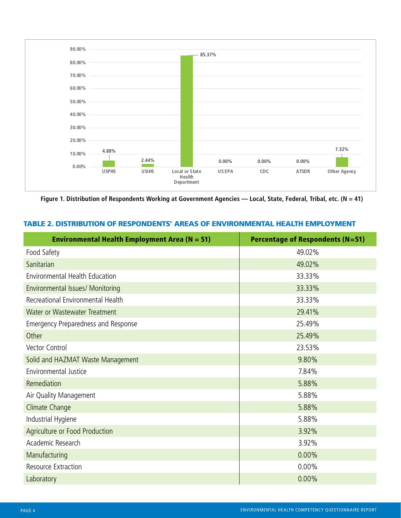

**Figure 1. Distribution of Respondents Working at Government Agencies — Local, State, Federal, Tribal, etc. (N = 41)**

| TABLE 2. DISTRIBUTION OF RESPONDENTS' AREAS OF ENVIRONMENTAL HEALTH EMPLOYMENT |  |
|--------------------------------------------------------------------------------|--|
|--------------------------------------------------------------------------------|--|

| <b>Environmental Health Employment Area (N = 51)</b> | <b>Percentage of Respondents (N=51)</b> |
|------------------------------------------------------|-----------------------------------------|
| Food Safety                                          | 49.02%                                  |
| Sanitarian                                           | 49.02%                                  |
| Environmental Health Education                       | 33.33%                                  |
| Environmental Issues/ Monitoring                     | 33.33%                                  |
| Recreational Environmental Health                    | 33.33%                                  |
| Water or Wastewater Treatment                        | 29.41%                                  |
| <b>Emergency Preparedness and Response</b>           | 25.49%                                  |
| Other                                                | 25.49%                                  |
| Vector Control                                       | 23.53%                                  |
| Solid and HAZMAT Waste Management                    | 9.80%                                   |
| Environmental Justice                                | 7.84%                                   |
| Remediation                                          | 5.88%                                   |
| Air Quality Management                               | 5.88%                                   |
| Climate Change                                       | 5.88%                                   |
| Industrial Hygiene                                   | 5.88%                                   |
| Agriculture or Food Production                       | 3.92%                                   |
| Academic Research                                    | 3.92%                                   |
| Manufacturing                                        | 0.00%                                   |
| Resource Extraction                                  | $0.00\%$                                |
| Laboratory                                           | 0.00%                                   |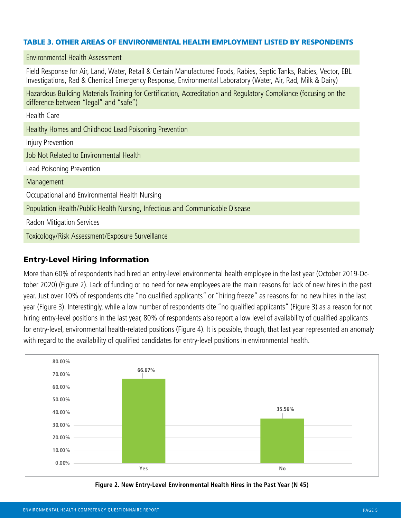#### TABLE 3. OTHER AREAS OF ENVIRONMENTAL HEALTH EMPLOYMENT LISTED BY RESPONDENTS

| Field Response for Air, Land, Water, Retail & Certain Manufactured Foods, Rabies, Septic Tanks, Rabies, Vector, EBL<br>Investigations, Rad & Chemical Emergency Response, Environmental Laboratory (Water, Air, Rad, Milk & Dairy) |  |  |  |  |
|------------------------------------------------------------------------------------------------------------------------------------------------------------------------------------------------------------------------------------|--|--|--|--|
| Hazardous Building Materials Training for Certification, Accreditation and Regulatory Compliance (focusing on the<br>difference between "legal" and "safe")                                                                        |  |  |  |  |
| Health Care                                                                                                                                                                                                                        |  |  |  |  |
| Healthy Homes and Childhood Lead Poisoning Prevention                                                                                                                                                                              |  |  |  |  |
| Injury Prevention                                                                                                                                                                                                                  |  |  |  |  |
| Job Not Related to Environmental Health                                                                                                                                                                                            |  |  |  |  |
| Lead Poisoning Prevention                                                                                                                                                                                                          |  |  |  |  |
| Management                                                                                                                                                                                                                         |  |  |  |  |
| Occupational and Environmental Health Nursing                                                                                                                                                                                      |  |  |  |  |
| Population Health/Public Health Nursing, Infectious and Communicable Disease                                                                                                                                                       |  |  |  |  |
| Radon Mitigation Services                                                                                                                                                                                                          |  |  |  |  |
| Toxicology/Risk Assessment/Exposure Surveillance                                                                                                                                                                                   |  |  |  |  |

#### Entry-Level Hiring Information

Environmental Health Assessment

More than 60% of respondents had hired an entry-level environmental health employee in the last year (October 2019-October 2020) (Figure 2). Lack of funding or no need for new employees are the main reasons for lack of new hires in the past year. Just over 10% of respondents cite "no qualified applicants" or "hiring freeze" as reasons for no new hires in the last year (Figure 3). Interestingly, while a low number of respondents cite "no qualified applicants" (Figure 3) as a reason for not hiring entry-level positions in the last year, 80% of respondents also report a low level of availability of qualified applicants for entry-level, environmental health-related positions (Figure 4). It is possible, though, that last year represented an anomaly with regard to the availability of qualified candidates for entry-level positions in environmental health.



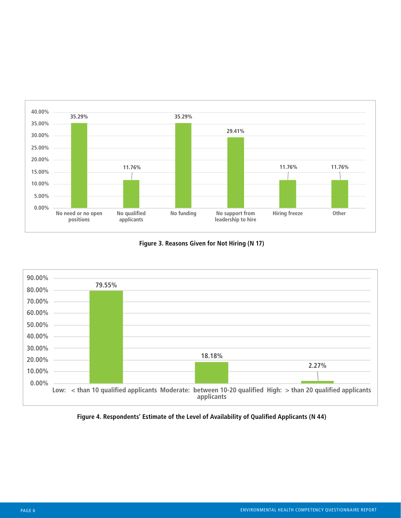

**Figure 3. Reasons Given for Not Hiring (N 17)**



**Figure 4. Respondents' Estimate of the Level of Availability of Qualified Applicants (N 44)**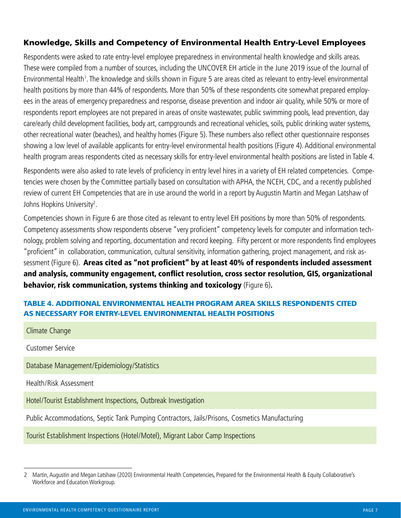# Knowledge, Skills and Competency of Environmental Health Entry-Level Employees

Respondents were asked to rate entry-level employee preparedness in environmental health knowledge and skills areas. These were compiled from a number of sources, including the UNCOVER EH article in the June 2019 issue of the Journal of Environmental Health<sup>1</sup>. The knowledge and skills shown in Figure 5 are areas cited as relevant to entry-level environmental health positions by more than 44% of respondents. More than 50% of these respondents cite somewhat prepared employees in the areas of emergency preparedness and response, disease prevention and indoor air quality, while 50% or more of respondents report employees are not prepared in areas of onsite wastewater, public swimming pools, lead prevention, day care/early child development facilities, body art, campgrounds and recreational vehicles, soils, public drinking water systems, other recreational water (beaches), and healthy homes (Figure 5). These numbers also reflect other questionnaire responses showing a low level of available applicants for entry-level environmental health positions (Figure 4). Additional environmental health program areas respondents cited as necessary skills for entry-level environmental health positions are listed in Table 4.

Respondents were also asked to rate levels of proficiency in entry level hires in a variety of EH related competencies. Competencies were chosen by the Committee partially based on consultation with APHA, the NCEH, CDC, and a recently published review of current EH Competencies that are in use around the world in a report by Augustin Martin and Megan Latshaw of Johns Hopkins University<sup>2</sup>.

Competencies shown in Figure 6 are those cited as relevant to entry level EH positions by more than 50% of respondents. Competency assessments show respondents observe "very proficient" competency levels for computer and information technology, problem solving and reporting, documentation and record keeping. Fifty percent or more respondents find employees "proficient" in collaboration, communication, cultural sensitivity, information gathering, project management, and risk assessment (Figure 6). Areas cited as "not proficient" by at least 40% of respondents included assessment and analysis, community engagement, conflict resolution, cross sector resolution, GIS, organizational behavior, risk communication, systems thinking and toxicology (Figure 6)**.** 

# TABLE 4. ADDITIONAL ENVIRONMENTAL HEALTH PROGRAM AREA SKILLS RESPONDENTS CITED AS NECESSARY FOR ENTRY-LEVEL ENVIRONMENTAL HEALTH POSITIONS

| Climate Change                                                                                 |
|------------------------------------------------------------------------------------------------|
| <b>Customer Service</b>                                                                        |
| Database Management/Epidemiology/Statistics                                                    |
| Health/Risk Assessment                                                                         |
| Hotel/Tourist Establishment Inspections, Outbreak Investigation                                |
| Public Accommodations, Septic Tank Pumping Contractors, Jails/Prisons, Cosmetics Manufacturing |
| Tourist Establishment Inspections (Hotel/Motel), Migrant Labor Camp Inspections                |
|                                                                                                |

<span id="page-6-0"></span><sup>2</sup> Martin, Augustin and Megan Latshaw (2020) Environmental Health Competencies, Prepared for the Environmental Health & Equity Collaborative's Workforce and Education Workgroup.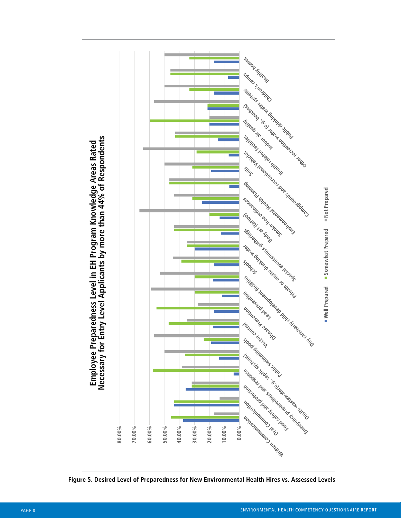

**Figure 5. Desired Level of Preparedness for New Environmental Health Hires vs. Assessed Levels**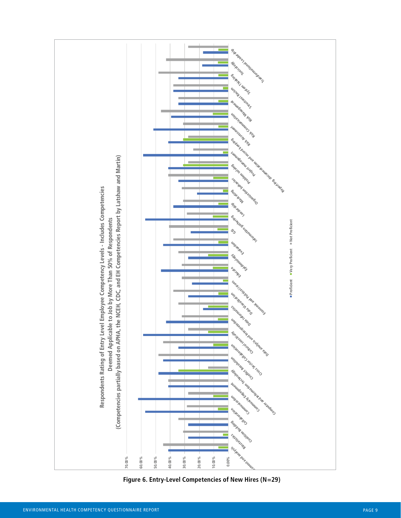

**Figure 6. Entry-Level Competencies of New Hires (N=29)**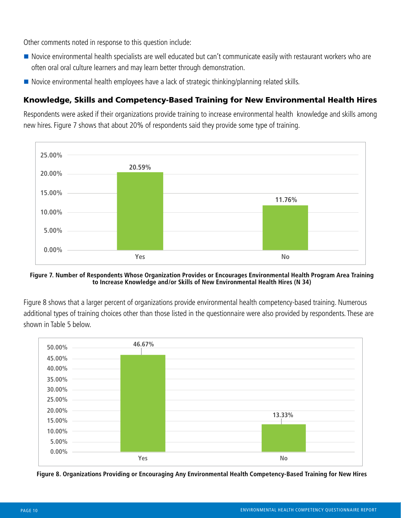Other comments noted in response to this question include:

- Novice environmental health specialists are well educated but can't communicate easily with restaurant workers who are often oral oral culture learners and may learn better through demonstration.
- Novice environmental health employees have a lack of strategic thinking/planning related skills.

# Knowledge, Skills and Competency-Based Training for New Environmental Health Hires

Respondents were asked if their organizations provide training to increase environmental health knowledge and skills among new hires. Figure 7 shows that about 20% of respondents said they provide some type of training.



**Figure 7. Number of Respondents Whose Organization Provides or Encourages Environmental Health Program Area Training to Increase Knowledge and/or Skills of New Environmental Health Hires (N 34)**

Figure 8 shows that a larger percent of organizations provide environmental health competency-based training. Numerous additional types of training choices other than those listed in the questionnaire were also provided by respondents. These are shown in Table 5 below.



**Figure 8. Organizations Providing or Encouraging Any Environmental Health Competency-Based Training for New Hires**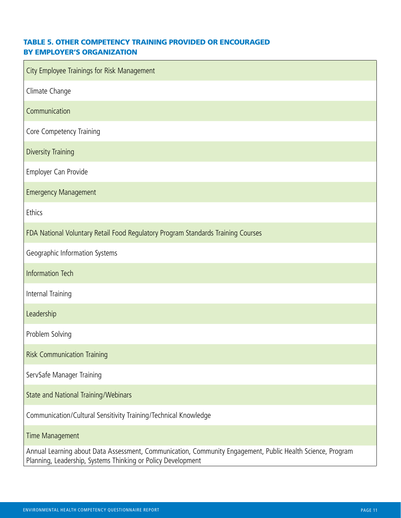#### TABLE 5. OTHER COMPETENCY TRAINING PROVIDED OR ENCOURAGED BY EMPLOYER'S ORGANIZATION

| City Employee Trainings for Risk Management                                                                                                                                |
|----------------------------------------------------------------------------------------------------------------------------------------------------------------------------|
| Climate Change                                                                                                                                                             |
| Communication                                                                                                                                                              |
| Core Competency Training                                                                                                                                                   |
| <b>Diversity Training</b>                                                                                                                                                  |
| Employer Can Provide                                                                                                                                                       |
| <b>Emergency Management</b>                                                                                                                                                |
| Ethics                                                                                                                                                                     |
| FDA National Voluntary Retail Food Regulatory Program Standards Training Courses                                                                                           |
| Geographic Information Systems                                                                                                                                             |
| <b>Information Tech</b>                                                                                                                                                    |
| Internal Training                                                                                                                                                          |
| Leadership                                                                                                                                                                 |
| Problem Solving                                                                                                                                                            |
| <b>Risk Communication Training</b>                                                                                                                                         |
| ServSafe Manager Training                                                                                                                                                  |
| State and National Training/Webinars                                                                                                                                       |
| Communication/Cultural Sensitivity Training/Technical Knowledge                                                                                                            |
| Time Management                                                                                                                                                            |
| Annual Learning about Data Assessment, Communication, Community Engagement, Public Health Science, Program<br>Planning, Leadership, Systems Thinking or Policy Development |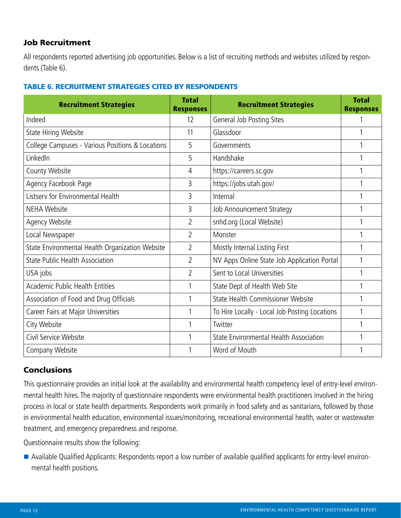# Job Recruitment

All respondents reported advertising job opportunities. Below is a list of recruiting methods and websites utilized by respondents (Table 6).

### TABLE 6. RECRUITMENT STRATEGIES CITED BY RESPONDENTS

| <b>Recruitment Strategies</b>                    | <b>Total</b><br><b>Responses</b> | <b>Recruitment Strategies</b>                 | <b>Total</b><br><b>Responses</b> |
|--------------------------------------------------|----------------------------------|-----------------------------------------------|----------------------------------|
| Indeed                                           | 12                               | General Job Posting Sites                     |                                  |
| State Hiring Website                             | 11                               | Glassdoor                                     |                                  |
| College Campuses - Various Positions & Locations | 5                                | Governments                                   |                                  |
| LinkedIn                                         | 5                                | Handshake                                     |                                  |
| County Website                                   | 4                                | https://careers.sc.gov                        |                                  |
| Agency Facebook Page                             | 3                                | https://jobs.utah.gov/                        |                                  |
| Listserv for Environmental Health                | 3                                | Internal                                      |                                  |
| <b>NEHA Website</b>                              | 3                                | Job Announcement Strategy                     |                                  |
| Agency Website                                   | $\overline{2}$                   | snhd.org (Local Website)                      |                                  |
| Local Newspaper                                  | $\overline{2}$                   | Monster                                       |                                  |
| State Environmental Health Organization Website  | $\overline{2}$                   | Mostly Internal Listing First                 |                                  |
| <b>State Public Health Association</b>           | 2                                | NV Apps Online State Job Application Portal   |                                  |
| USA jobs                                         | $\overline{2}$                   | Sent to Local Universities                    |                                  |
| <b>Academic Public Health Entities</b>           | 1                                | State Dept of Health Web Site                 |                                  |
| Association of Food and Drug Officials           | 1                                | State Health Commissioner Website             |                                  |
| Career Fairs at Major Universities               | 1                                | To Hire Locally - Local Job Posting Locations | 1                                |
| City Website                                     |                                  | Twitter                                       |                                  |
| Civil Service Website                            |                                  | State Environmental Health Association        |                                  |
| Company Website                                  |                                  | Word of Mouth                                 |                                  |

# **Conclusions**

This questionnaire provides an initial look at the availability and environmental health competency level of entry-level environmental health hires. The majority of questionnaire respondents were environmental health practitioners involved in the hiring process in local or state health departments. Respondents work primarily in food safety and as sanitarians, followed by those in environmental health education, environmental issues/monitoring, recreational environmental health, water or wastewater treatment, and emergency preparedness and response.

Questionnaire results show the following:

 Available Qualified Applicants: Respondents report a low number of available qualified applicants for entry-level environmental health positions.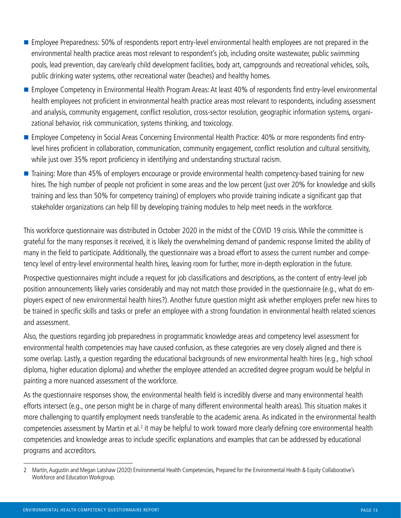- **Employee Preparedness: 50% of respondents report entry-level environmental health employees are not prepared in the** environmental health practice areas most relevant to respondent's job, including onsite wastewater, public swimming pools, lead prevention, day care/early child development facilities, body art, campgrounds and recreational vehicles, soils, public drinking water systems, other recreational water (beaches) and healthy homes.
- Employee Competency in Environmental Health Program Areas: At least 40% of respondents find entry-level environmental health employees not proficient in environmental health practice areas most relevant to respondents, including assessment and analysis, community engagement, conflict resolution, cross-sector resolution, geographic information systems, organizational behavior, risk communication, systems thinking, and toxicology.
- Employee Competency in Social Areas Concerning Environmental Health Practice: 40% or more respondents find entrylevel hires proficient in collaboration, communication, community engagement, conflict resolution and cultural sensitivity, while just over 35% report proficiency in identifying and understanding structural racism.
- Training: More than 45% of employers encourage or provide environmental health competency-based training for new hires. The high number of people not proficient in some areas and the low percent (just over 20% for knowledge and skills training and less than 50% for competency training) of employers who provide training indicate a significant gap that stakeholder organizations can help fill by developing training modules to help meet needs in the workforce.

This workforce questionnaire was distributed in October 2020 in the midst of the COVID 19 crisis. While the committee is grateful for the many responses it received, it is likely the overwhelming demand of pandemic response limited the ability of many in the field to participate. Additionally, the questionnaire was a broad effort to assess the current number and competency level of entry-level environmental health hires, leaving room for further, more in-depth exploration in the future.

Prospective questionnaires might include a request for job classifications and descriptions, as the content of entry-level job position announcements likely varies considerably and may not match those provided in the questionnaire (e.g., what do employers expect of new environmental health hires?). Another future question might ask whether employers prefer new hires to be trained in specific skills and tasks or prefer an employee with a strong foundation in environmental health related sciences and assessment.

Also, the questions regarding job preparedness in programmatic knowledge areas and competency level assessment for environmental health competencies may have caused confusion, as these categories are very closely aligned and there is some overlap. Lastly, a question regarding the educational backgrounds of new environmental health hires (e.g., high school diploma, higher education diploma) and whether the employee attended an accredited degree program would be helpful in painting a more nuanced assessment of the workforce.

As the questionnaire responses show, the environmental health field is incredibly diverse and many environmental health efforts intersect (e.g., one person might be in charge of many different environmental health areas). This situation makes it more challenging to quantify employment needs transferable to the academic arena. As indicated in the environmental health competencies assessment by Martin et al.<sup>2</sup> it may be helpful to work toward more clearly defining core environmental health competencies and knowledge areas to include specific explanations and examples that can be addressed by educational programs and accreditors.

<sup>2</sup> Martin, Augustin and Megan Latshaw (2020) Environmental Health Competencies, Prepared for the Environmental Health & Equity Collaborative's Workforce and Education Workgroup.